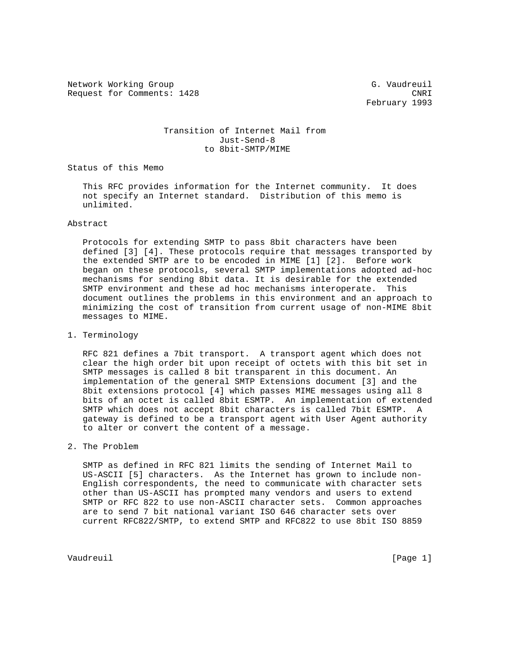Network Working Group G. Vaudreuil Request for Comments: 1428 CNRI

February 1993

# Transition of Internet Mail from Just-Send-8 to 8bit-SMTP/MIME

Status of this Memo

 This RFC provides information for the Internet community. It does not specify an Internet standard. Distribution of this memo is unlimited.

## Abstract

 Protocols for extending SMTP to pass 8bit characters have been defined [3] [4]. These protocols require that messages transported by the extended SMTP are to be encoded in MIME [1] [2]. Before work began on these protocols, several SMTP implementations adopted ad-hoc mechanisms for sending 8bit data. It is desirable for the extended SMTP environment and these ad hoc mechanisms interoperate. This document outlines the problems in this environment and an approach to minimizing the cost of transition from current usage of non-MIME 8bit messages to MIME.

### 1. Terminology

 RFC 821 defines a 7bit transport. A transport agent which does not clear the high order bit upon receipt of octets with this bit set in SMTP messages is called 8 bit transparent in this document. An implementation of the general SMTP Extensions document [3] and the 8bit extensions protocol [4] which passes MIME messages using all 8 bits of an octet is called 8bit ESMTP. An implementation of extended SMTP which does not accept 8bit characters is called 7bit ESMTP. A gateway is defined to be a transport agent with User Agent authority to alter or convert the content of a message.

#### 2. The Problem

 SMTP as defined in RFC 821 limits the sending of Internet Mail to US-ASCII [5] characters. As the Internet has grown to include non- English correspondents, the need to communicate with character sets other than US-ASCII has prompted many vendors and users to extend SMTP or RFC 822 to use non-ASCII character sets. Common approaches are to send 7 bit national variant ISO 646 character sets over current RFC822/SMTP, to extend SMTP and RFC822 to use 8bit ISO 8859

Vaudreuil [Page 1]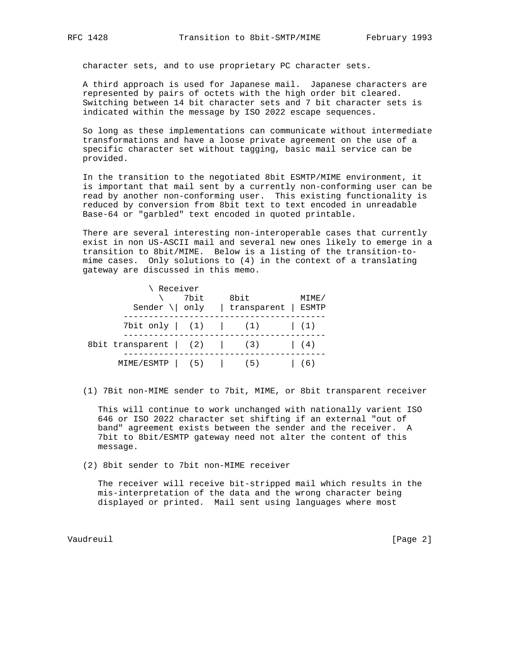character sets, and to use proprietary PC character sets.

 A third approach is used for Japanese mail. Japanese characters are represented by pairs of octets with the high order bit cleared. Switching between 14 bit character sets and 7 bit character sets is indicated within the message by ISO 2022 escape sequences.

 So long as these implementations can communicate without intermediate transformations and have a loose private agreement on the use of a specific character set without tagging, basic mail service can be provided.

 In the transition to the negotiated 8bit ESMTP/MIME environment, it is important that mail sent by a currently non-conforming user can be read by another non-conforming user. This existing functionality is reduced by conversion from 8bit text to text encoded in unreadable Base-64 or "garbled" text encoded in quoted printable.

 There are several interesting non-interoperable cases that currently exist in non US-ASCII mail and several new ones likely to emerge in a transition to 8bit/MIME. Below is a listing of the transition-to mime cases. Only solutions to (4) in the context of a translating gateway are discussed in this memo.

|                                    | \ Receiver<br>\ 7bit<br>Sender \  only   transparent   ESMTP | 8bit | MIME/ |
|------------------------------------|--------------------------------------------------------------|------|-------|
|                                    | 7bit only $(1)$ $(1)$ $(1)$ $(1)$                            |      |       |
| 8bit transparent $(2)$ $(3)$ $(4)$ |                                                              |      |       |
|                                    | MIME/ESMTP   $(5)$   $(5)$   $(6)$                           |      |       |

(1) 7Bit non-MIME sender to 7bit, MIME, or 8bit transparent receiver

 This will continue to work unchanged with nationally varient ISO 646 or ISO 2022 character set shifting if an external "out of band" agreement exists between the sender and the receiver. A 7bit to 8bit/ESMTP gateway need not alter the content of this message.

(2) 8bit sender to 7bit non-MIME receiver

 The receiver will receive bit-stripped mail which results in the mis-interpretation of the data and the wrong character being displayed or printed. Mail sent using languages where most

Vaudreuil [Page 2]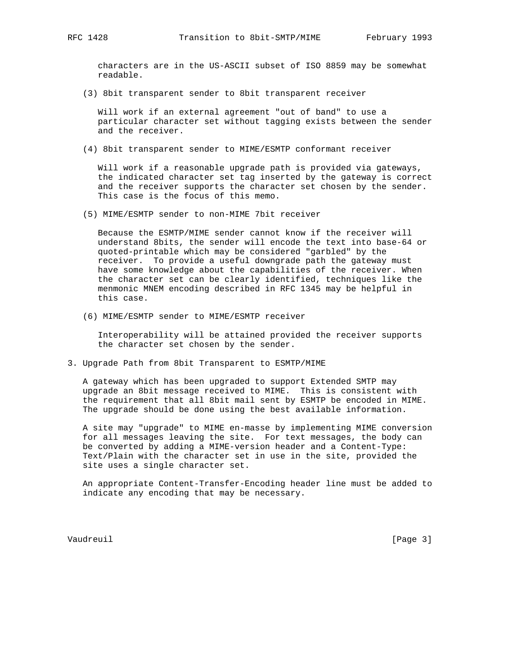characters are in the US-ASCII subset of ISO 8859 may be somewhat readable.

(3) 8bit transparent sender to 8bit transparent receiver

 Will work if an external agreement "out of band" to use a particular character set without tagging exists between the sender and the receiver.

(4) 8bit transparent sender to MIME/ESMTP conformant receiver

 Will work if a reasonable upgrade path is provided via gateways, the indicated character set tag inserted by the gateway is correct and the receiver supports the character set chosen by the sender. This case is the focus of this memo.

(5) MIME/ESMTP sender to non-MIME 7bit receiver

 Because the ESMTP/MIME sender cannot know if the receiver will understand 8bits, the sender will encode the text into base-64 or quoted-printable which may be considered "garbled" by the receiver. To provide a useful downgrade path the gateway must have some knowledge about the capabilities of the receiver. When the character set can be clearly identified, techniques like the menmonic MNEM encoding described in RFC 1345 may be helpful in this case.

(6) MIME/ESMTP sender to MIME/ESMTP receiver

 Interoperability will be attained provided the receiver supports the character set chosen by the sender.

3. Upgrade Path from 8bit Transparent to ESMTP/MIME

 A gateway which has been upgraded to support Extended SMTP may upgrade an 8bit message received to MIME. This is consistent with the requirement that all 8bit mail sent by ESMTP be encoded in MIME. The upgrade should be done using the best available information.

 A site may "upgrade" to MIME en-masse by implementing MIME conversion for all messages leaving the site. For text messages, the body can be converted by adding a MIME-version header and a Content-Type: Text/Plain with the character set in use in the site, provided the site uses a single character set.

 An appropriate Content-Transfer-Encoding header line must be added to indicate any encoding that may be necessary.

Vaudreuil [Page 3]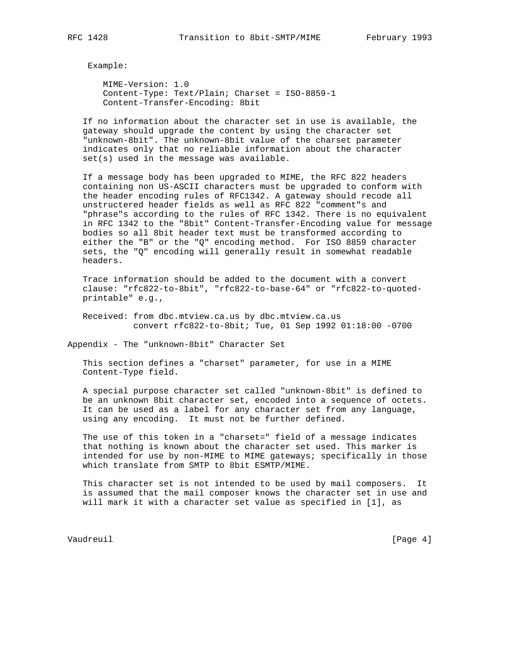Example:

 MIME-Version: 1.0 Content-Type: Text/Plain; Charset = ISO-8859-1 Content-Transfer-Encoding: 8bit

 If no information about the character set in use is available, the gateway should upgrade the content by using the character set "unknown-8bit". The unknown-8bit value of the charset parameter indicates only that no reliable information about the character set(s) used in the message was available.

 If a message body has been upgraded to MIME, the RFC 822 headers containing non US-ASCII characters must be upgraded to conform with the header encoding rules of RFC1342. A gateway should recode all unstructered header fields as well as RFC 822 "comment"s and "phrase"s according to the rules of RFC 1342. There is no equivalent in RFC 1342 to the "8bit" Content-Transfer-Encoding value for message bodies so all 8bit header text must be transformed according to either the "B" or the "Q" encoding method. For ISO 8859 character sets, the "Q" encoding will generally result in somewhat readable headers.

 Trace information should be added to the document with a convert clause: "rfc822-to-8bit", "rfc822-to-base-64" or "rfc822-to-quoted printable" e.g.,

 Received: from dbc.mtview.ca.us by dbc.mtview.ca.us convert rfc822-to-8bit; Tue, 01 Sep 1992 01:18:00 -0700

Appendix - The "unknown-8bit" Character Set

 This section defines a "charset" parameter, for use in a MIME Content-Type field.

 A special purpose character set called "unknown-8bit" is defined to be an unknown 8bit character set, encoded into a sequence of octets. It can be used as a label for any character set from any language, using any encoding. It must not be further defined.

 The use of this token in a "charset=" field of a message indicates that nothing is known about the character set used. This marker is intended for use by non-MIME to MIME gateways; specifically in those which translate from SMTP to 8bit ESMTP/MIME.

 This character set is not intended to be used by mail composers. It is assumed that the mail composer knows the character set in use and will mark it with a character set value as specified in [1], as

Vaudreuil **Example 19** (Page 4)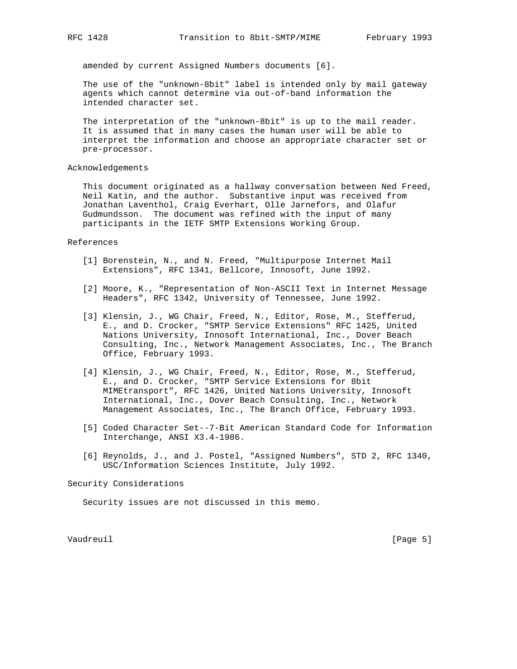amended by current Assigned Numbers documents [6].

 The use of the "unknown-8bit" label is intended only by mail gateway agents which cannot determine via out-of-band information the intended character set.

 The interpretation of the "unknown-8bit" is up to the mail reader. It is assumed that in many cases the human user will be able to interpret the information and choose an appropriate character set or pre-processor.

## Acknowledgements

 This document originated as a hallway conversation between Ned Freed, Neil Katin, and the author. Substantive input was received from Jonathan Laventhol, Craig Everhart, Olle Jarnefors, and Olafur Gudmundsson. The document was refined with the input of many participants in the IETF SMTP Extensions Working Group.

#### References

- [1] Borenstein, N., and N. Freed, "Multipurpose Internet Mail Extensions", RFC 1341, Bellcore, Innosoft, June 1992.
- [2] Moore, K., "Representation of Non-ASCII Text in Internet Message Headers", RFC 1342, University of Tennessee, June 1992.
- [3] Klensin, J., WG Chair, Freed, N., Editor, Rose, M., Stefferud, E., and D. Crocker, "SMTP Service Extensions" RFC 1425, United Nations University, Innosoft International, Inc., Dover Beach Consulting, Inc., Network Management Associates, Inc., The Branch Office, February 1993.
	- [4] Klensin, J., WG Chair, Freed, N., Editor, Rose, M., Stefferud, E., and D. Crocker, "SMTP Service Extensions for 8bit MIMEtransport", RFC 1426, United Nations University, Innosoft International, Inc., Dover Beach Consulting, Inc., Network Management Associates, Inc., The Branch Office, February 1993.
	- [5] Coded Character Set--7-Bit American Standard Code for Information Interchange, ANSI X3.4-1986.
	- [6] Reynolds, J., and J. Postel, "Assigned Numbers", STD 2, RFC 1340, USC/Information Sciences Institute, July 1992.

Security Considerations

Security issues are not discussed in this memo.

Vaudreuil **I** and **Page 5** and **Page 5** and **Page 5** and **Page 5** and **Page 5** and **Page 7** and **Page 7** and **Page 7** and **Page 7** and **Page 7** and **Page 7** and **Page 7** and **Page 7** and **Page 7** and **Page 7** and **Page 7**